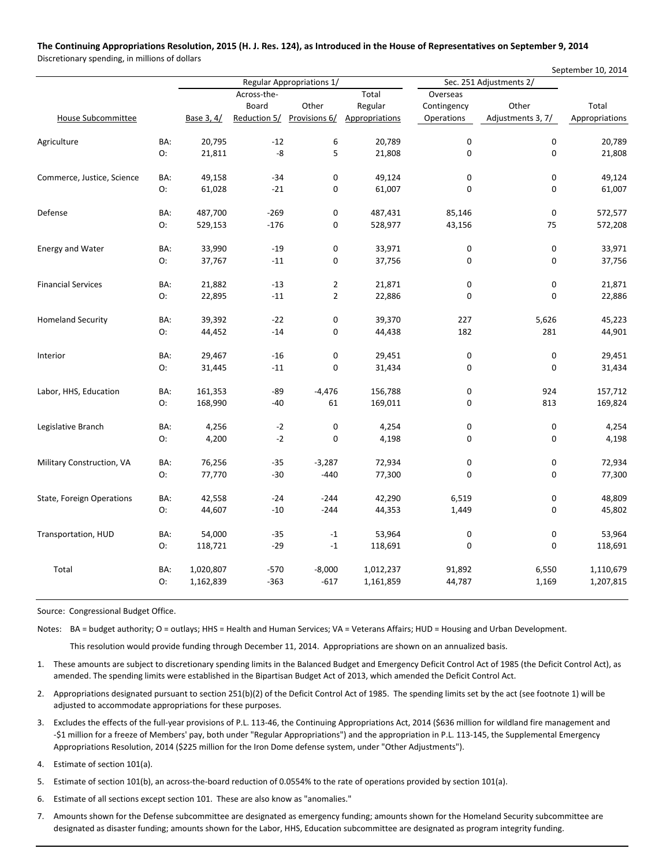## The Continuing Appropriations Resolution, 2015 (H. J. Res. 124), as Introduced in the House of Representatives on September 9, 2014

Discretionary spending, in millions of dollars

|                            |     |                           |             |                            |                |                         |                   | September 10, 2014 |
|----------------------------|-----|---------------------------|-------------|----------------------------|----------------|-------------------------|-------------------|--------------------|
|                            |     | Regular Appropriations 1/ |             |                            |                | Sec. 251 Adjustments 2/ |                   |                    |
|                            |     |                           | Across-the- |                            | Total          | Overseas                |                   |                    |
|                            |     |                           | Board       | Other                      | Regular        | Contingency             | Other             | Total              |
| House Subcommittee         |     | Base 3, 4/                |             | Reduction 5/ Provisions 6/ | Appropriations | Operations              | Adjustments 3, 7/ | Appropriations     |
| Agriculture                | BA: | 20,795                    | $-12$       | 6                          | 20,789         | $\pmb{0}$               | $\pmb{0}$         | 20,789             |
|                            | O:  | 21,811                    | $-8$        | 5                          | 21,808         | $\mathbf 0$             | $\mathbf 0$       | 21,808             |
| Commerce, Justice, Science | BA: | 49,158                    | $-34$       | $\pmb{0}$                  | 49,124         | 0                       | 0                 | 49,124             |
|                            | O:  | 61,028                    | $-21$       | $\mathbf 0$                | 61,007         | $\mathbf 0$             | 0                 | 61,007             |
| Defense                    | BA: | 487,700                   | $-269$      | $\mathbf 0$                | 487,431        | 85,146                  | $\mathbf 0$       | 572,577            |
|                            | O:  | 529,153                   | $-176$      | $\boldsymbol{0}$           | 528,977        | 43,156                  | 75                | 572,208            |
| <b>Energy and Water</b>    | BA: | 33,990                    | $-19$       | $\pmb{0}$                  | 33,971         | 0                       | 0                 | 33,971             |
|                            | O:  | 37,767                    | $-11$       | $\mathbf 0$                | 37,756         | $\mathbf 0$             | 0                 | 37,756             |
| <b>Financial Services</b>  | BA: | 21,882                    | $-13$       | $\mathbf{2}$               | 21,871         | $\pmb{0}$               | $\pmb{0}$         | 21,871             |
|                            | O:  | 22,895                    | $-11$       | $\mathbf 2$                | 22,886         | $\mathbf 0$             | $\mathbf 0$       | 22,886             |
| <b>Homeland Security</b>   | BA: | 39,392                    | $-22$       | $\pmb{0}$                  | 39,370         | 227                     | 5,626             | 45,223             |
|                            | O:  | 44,452                    | $-14$       | $\mathbf 0$                | 44,438         | 182                     | 281               | 44,901             |
| Interior                   | BA: | 29,467                    | $-16$       | $\pmb{0}$                  | 29,451         | $\pmb{0}$               | $\pmb{0}$         | 29,451             |
|                            | O:  | 31,445                    | $-11$       | 0                          | 31,434         | 0                       | $\mathbf 0$       | 31,434             |
| Labor, HHS, Education      | BA: | 161,353                   | -89         | $-4,476$                   | 156,788        | 0                       | 924               | 157,712            |
|                            | O:  | 168,990                   | $-40$       | 61                         | 169,011        | $\mathbf 0$             | 813               | 169,824            |
| Legislative Branch         | BA: | 4,256                     | $-2$        | $\pmb{0}$                  | 4,254          | $\pmb{0}$               | 0                 | 4,254              |
|                            | O:  | 4,200                     | $-2$        | $\mathbf 0$                | 4,198          | 0                       | 0                 | 4,198              |
| Military Construction, VA  | BA: | 76,256                    | $-35$       | $-3,287$                   | 72,934         | $\pmb{0}$               | 0                 | 72,934             |
|                            | О:  | 77,770                    | $-30$       | $-440$                     | 77,300         | $\mathbf 0$             | 0                 | 77,300             |
| State, Foreign Operations  | BA: | 42,558                    | $-24$       | $-244$                     | 42,290         | 6,519                   | 0                 | 48,809             |
|                            | O:  | 44,607                    | $-10$       | $-244$                     | 44,353         | 1,449                   | $\mathbf 0$       | 45,802             |
| Transportation, HUD        | BA: | 54,000                    | $-35$       | $-1$                       | 53,964         | $\pmb{0}$               | $\mathbf 0$       | 53,964             |
|                            | О:  | 118,721                   | $-29$       | $^{\rm -1}$                | 118,691        | $\mathbf 0$             | 0                 | 118,691            |
| Total                      | BA: | 1,020,807                 | $-570$      | $-8,000$                   | 1,012,237      | 91,892                  | 6,550             | 1,110,679          |
|                            | O:  | 1,162,839                 | $-363$      | $-617$                     | 1,161,859      | 44,787                  | 1,169             | 1,207,815          |

Source: Congressional Budget Office.

Notes: BA = budget authority; O = outlays; HHS = Health and Human Services; VA = Veterans Affairs; HUD = Housing and Urban Development.

This resolution would provide funding through December 11, 2014. Appropriations are shown on an annualized basis.

1. These amounts are subject to discretionary spending limits in the Balanced Budget and Emergency Deficit Control Act of 1985 (the Deficit Control Act), as amended. The spending limits were established in the Bipartisan Budget Act of 2013, which amended the Deficit Control Act.

2. Appropriations designated pursuant to section 251(b)(2) of the Deficit Control Act of 1985. The spending limits set by the act (see footnote 1) will be adjusted to accommodate appropriations for these purposes.

- 3. Excludes the effects of the full‐year provisions of P.L. 113‐46, the Continuing Appropriations Act, 2014 (\$636 million for wildland fire management and ‐\$1 million for a freeze of Members' pay, both under "Regular Appropriations") and the appropriation in P.L. 113‐145, the Supplemental Emergency Appropriations Resolution, 2014 (\$225 million for the Iron Dome defense system, under "Other Adjustments").
- 4. Estimate of section 101(a).
- 5. Estimate of section 101(b), an across-the-board reduction of 0.0554% to the rate of operations provided by section 101(a).
- 6. Estimate of all sections except section 101. These are also know as "anomalies."
- 7. Amounts shown for the Defense subcommittee are designated as emergency funding; amounts shown for the Homeland Security subcommittee are designated as disaster funding; amounts shown for the Labor, HHS, Education subcommittee are designated as program integrity funding.